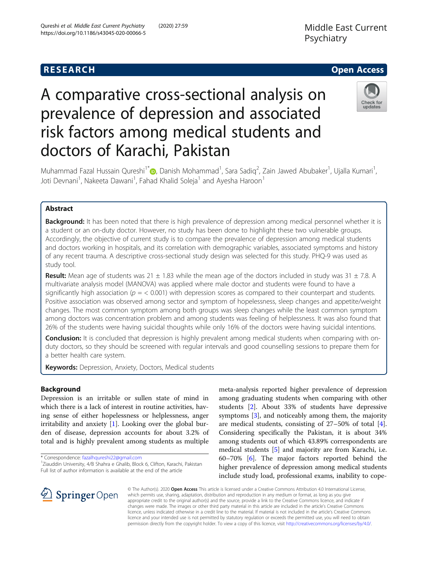

# A comparative cross-sectional analysis on prevalence of depression and associated risk factors among medical students and doctors of Karachi, Pakistan



Muhammad Fazal Hussain Qureshi<sup>1[\\*](http://orcid.org/0000-0002-4416-4379)</sup>�, Danish Mohammad<sup>1</sup>, Sara Sadiq<sup>2</sup>, Zain Jawed Abubaker<sup>1</sup>, Ujalla Kumari<sup>1</sup> , Joti Devnani<sup>1</sup>, Nakeeta Dawani<sup>1</sup>, Fahad Khalid Soleja<sup>1</sup> and Ayesha Haroon<sup>1</sup>

# Abstract

**Background:** It has been noted that there is high prevalence of depression among medical personnel whether it is a student or an on-duty doctor. However, no study has been done to highlight these two vulnerable groups. Accordingly, the objective of current study is to compare the prevalence of depression among medical students and doctors working in hospitals, and its correlation with demographic variables, associated symptoms and history of any recent trauma. A descriptive cross-sectional study design was selected for this study. PHQ-9 was used as study tool.

**Result:** Mean age of students was  $21 \pm 1.83$  while the mean age of the doctors included in study was  $31 \pm 7.8$ . A multivariate analysis model (MANOVA) was applied where male doctor and students were found to have a significantly high association ( $p = < 0.001$ ) with depression scores as compared to their counterpart and students. Positive association was observed among sector and symptom of hopelessness, sleep changes and appetite/weight changes. The most common symptom among both groups was sleep changes while the least common symptom among doctors was concentration problem and among students was feeling of helplessness. It was also found that 26% of the students were having suicidal thoughts while only 16% of the doctors were having suicidal intentions.

Conclusion: It is concluded that depression is highly prevalent among medical students when comparing with onduty doctors, so they should be screened with regular intervals and good counselling sessions to prepare them for a better health care system.

Keywords: Depression, Anxiety, Doctors, Medical students

# Background

Depression is an irritable or sullen state of mind in which there is a lack of interest in routine activities, having sense of either hopelessness or helplessness, anger irritability and anxiety [[1\]](#page-5-0). Looking over the global burden of disease, depression accounts for about 3.2% of total and is highly prevalent among students as multiple

\* Correspondence: [fazalhqureshi22@gmail.com](mailto:fazalhqureshi22@gmail.com) <sup>1</sup>

<sup>1</sup> Ziauddin University, 4/B Shahra e Ghalib, Block 6, Clifton, Karachi, Pakistan Full list of author information is available at the end of the article

meta-analysis reported higher prevalence of depression among graduating students when comparing with other students [\[2\]](#page-5-0). About 33% of students have depressive symptoms [\[3](#page-5-0)], and noticeably among them, the majority are medical students, consisting of 27–50% of total [\[4](#page-5-0)]. Considering specifically the Pakistan, it is about 34% among students out of which 43.89% correspondents are medical students [[5](#page-5-0)] and majority are from Karachi, i.e. 60–70% [[6\]](#page-5-0). The major factors reported behind the higher prevalence of depression among medical students include study load, professional exams, inability to cope-



© The Author(s). 2020 Open Access This article is licensed under a Creative Commons Attribution 4.0 International License, which permits use, sharing, adaptation, distribution and reproduction in any medium or format, as long as you give appropriate credit to the original author(s) and the source, provide a link to the Creative Commons licence, and indicate if changes were made. The images or other third party material in this article are included in the article's Creative Commons licence, unless indicated otherwise in a credit line to the material. If material is not included in the article's Creative Commons licence and your intended use is not permitted by statutory regulation or exceeds the permitted use, you will need to obtain permission directly from the copyright holder. To view a copy of this licence, visit <http://creativecommons.org/licenses/by/4.0/>.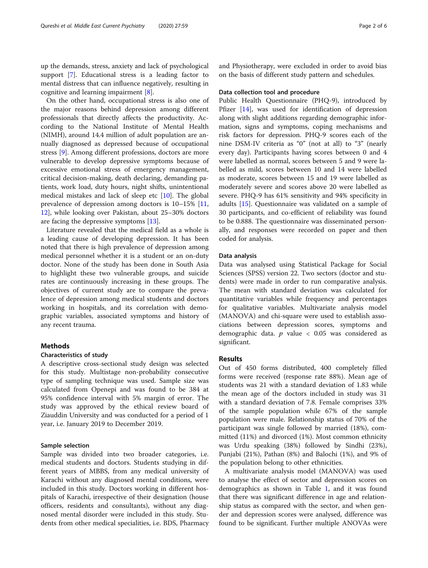up the demands, stress, anxiety and lack of psychological support [\[7](#page-5-0)]. Educational stress is a leading factor to mental distress that can influence negatively, resulting in cognitive and learning impairment [\[8](#page-5-0)].

On the other hand, occupational stress is also one of the major reasons behind depression among different professionals that directly affects the productivity. According to the National Institute of Mental Health (NIMH), around 14.4 million of adult population are annually diagnosed as depressed because of occupational stress [\[9](#page-5-0)]. Among different professions, doctors are more vulnerable to develop depressive symptoms because of excessive emotional stress of emergency management, critical decision-making, death declaring, demanding patients, work load, duty hours, night shifts, unintentional medical mistakes and lack of sleep etc [[10](#page-5-0)]. The global prevalence of depression among doctors is 10–15% [[11](#page-5-0), [12\]](#page-5-0), while looking over Pakistan, about 25–30% doctors are facing the depressive symptoms [[13\]](#page-5-0).

Literature revealed that the medical field as a whole is a leading cause of developing depression. It has been noted that there is high prevalence of depression among medical personnel whether it is a student or an on-duty doctor. None of the study has been done in South Asia to highlight these two vulnerable groups, and suicide rates are continuously increasing in these groups. The objectives of current study are to compare the prevalence of depression among medical students and doctors working in hospitals, and its correlation with demographic variables, associated symptoms and history of any recent trauma.

#### Methods

#### Characteristics of study

A descriptive cross-sectional study design was selected for this study. Multistage non-probability consecutive type of sampling technique was used. Sample size was calculated from Openepi and was found to be 384 at 95% confidence interval with 5% margin of error. The study was approved by the ethical review board of Ziauddin University and was conducted for a period of 1 year, i.e. January 2019 to December 2019.

#### Sample selection

Sample was divided into two broader categories, i.e. medical students and doctors. Students studying in different years of MBBS, from any medical university of Karachi without any diagnosed mental conditions, were included in this study. Doctors working in different hospitals of Karachi, irrespective of their designation (house officers, residents and consultants), without any diagnosed mental disorder were included in this study. Students from other medical specialities, i.e. BDS, Pharmacy and Physiotherapy, were excluded in order to avoid bias on the basis of different study pattern and schedules.

#### Data collection tool and procedure

Public Health Questionnaire (PHQ-9), introduced by Pfizer [\[14\]](#page-5-0), was used for identification of depression along with slight additions regarding demographic information, signs and symptoms, coping mechanisms and risk factors for depression. PHQ-9 scores each of the nine DSM-IV criteria as "0" (not at all) to "3" (nearly every day). Participants having scores between 0 and 4 were labelled as normal, scores between 5 and 9 were labelled as mild, scores between 10 and 14 were labelled as moderate, scores between 15 and 19 were labelled as moderately severe and scores above 20 were labelled as severe. PHQ-9 has 61% sensitivity and 94% specificity in adults [\[15\]](#page-5-0). Questionnaire was validated on a sample of 30 participants, and co-efficient of reliability was found to be 0.888. The questionnaire was disseminated personally, and responses were recorded on paper and then coded for analysis.

#### Data analysis

Data was analysed using Statistical Package for Social Sciences (SPSS) version 22. Two sectors (doctor and students) were made in order to run comparative analysis. The mean with standard deviation was calculated for quantitative variables while frequency and percentages for qualitative variables. Multivariate analysis model (MANOVA) and chi-square were used to establish associations between depression scores, symptoms and demographic data.  $p$  value  $< 0.05$  was considered as significant.

#### Results

Out of 450 forms distributed, 400 completely filled forms were received (response rate 88%). Mean age of students was 21 with a standard deviation of 1.83 while the mean age of the doctors included in study was 31 with a standard deviation of 7.8. Female comprises 33% of the sample population while 67% of the sample population were male. Relationship status of 70% of the participant was single followed by married (18%), committed (11%) and divorced (1%). Most common ethnicity was Urdu speaking (38%) followed by Sindhi (23%), Punjabi (21%), Pathan (8%) and Balochi (1%), and 9% of the population belong to other ethnicities.

A multivariate analysis model (MANOVA) was used to analyse the effect of sector and depression scores on demographics as shown in Table [1,](#page-2-0) and it was found that there was significant difference in age and relationship status as compared with the sector, and when gender and depression scores were analysed, difference was found to be significant. Further multiple ANOVAs were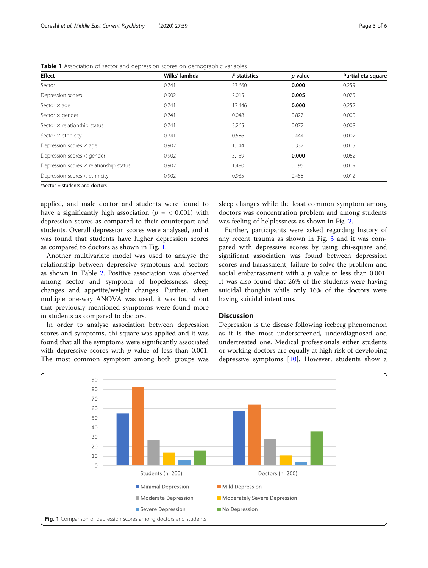| <b>Effect</b>                                  | Wilks' lambda | <b>F</b> statistics | p value | Partial eta square |
|------------------------------------------------|---------------|---------------------|---------|--------------------|
| Sector                                         | 0.741         | 33.660              | 0.000   | 0.259              |
| Depression scores                              | 0.902         | 2.015               | 0.005   | 0.025              |
| Sector $\times$ age                            | 0.741         | 13.446              | 0.000   | 0.252              |
| Sector $\times$ gender                         | 0.741         | 0.048               | 0.827   | 0.000              |
| Sector $\times$ relationship status            | 0.741         | 3.265               | 0.072   | 0.008              |
| Sector $\times$ ethnicity                      | 0.741         | 0.586               | 0.444   | 0.002              |
| Depression scores $\times$ age                 | 0.902         | 1.144               | 0.337   | 0.015              |
| Depression scores $\times$ gender              | 0.902         | 5.159               | 0.000   | 0.062              |
| Depression scores $\times$ relationship status | 0.902         | 1.480               | 0.195   | 0.019              |
| Depression scores $\times$ ethnicity           | 0.902         | 0.935               | 0.458   | 0.012              |

<span id="page-2-0"></span>Table 1 Association of sector and depression scores on demographic variables

\*Sector = students and doctors

applied, and male doctor and students were found to have a significantly high association ( $p = < 0.001$ ) with depression scores as compared to their counterpart and students. Overall depression scores were analysed, and it was found that students have higher depression scores as compared to doctors as shown in Fig. 1.

Another multivariate model was used to analyse the relationship between depressive symptoms and sectors as shown in Table [2](#page-3-0). Positive association was observed among sector and symptom of hopelessness, sleep changes and appetite/weight changes. Further, when multiple one-way ANOVA was used, it was found out that previously mentioned symptoms were found more in students as compared to doctors.

In order to analyse association between depression scores and symptoms, chi-square was applied and it was found that all the symptoms were significantly associated with depressive scores with  $p$  value of less than 0.001. The most common symptom among both groups was

sleep changes while the least common symptom among doctors was concentration problem and among students was feeling of helplessness as shown in Fig. [2.](#page-3-0)

Further, participants were asked regarding history of any recent trauma as shown in Fig. [3](#page-4-0) and it was compared with depressive scores by using chi-square and significant association was found between depression scores and harassment, failure to solve the problem and social embarrassment with a  $p$  value to less than 0.001. It was also found that 26% of the students were having suicidal thoughts while only 16% of the doctors were having suicidal intentions.

#### **Discussion**

Depression is the disease following iceberg phenomenon as it is the most underscreened, underdiagnosed and undertreated one. Medical professionals either students or working doctors are equally at high risk of developing depressive symptoms [[10\]](#page-5-0). However, students show a

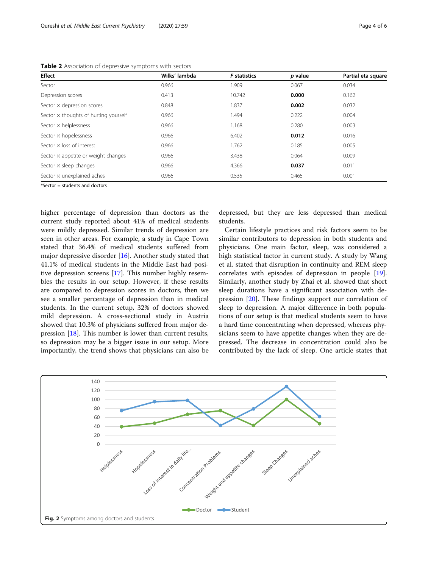<span id="page-3-0"></span>Table 2 Association of depressive symptoms with sectors

| <b>Effect</b>                                | Wilks' lambda | <b>F</b> statistics | p value | Partial eta square |
|----------------------------------------------|---------------|---------------------|---------|--------------------|
| Sector                                       | 0.966         | 1.909               | 0.067   | 0.034              |
| Depression scores                            | 0.413         | 10.742              | 0.000   | 0.162              |
| Sector x depression scores                   | 0.848         | 1.837               | 0.002   | 0.032              |
| Sector $\times$ thoughts of hurting yourself | 0.966         | 1.494               | 0.222   | 0.004              |
| Sector $\times$ helplessness                 | 0.966         | 1.168               | 0.280   | 0.003              |
| Sector x hopelessness                        | 0.966         | 6.402               | 0.012   | 0.016              |
| Sector $\times$ loss of interest             | 0.966         | 1.762               | 0.185   | 0.005              |
| Sector $\times$ appetite or weight changes   | 0.966         | 3.438               | 0.064   | 0.009              |
| Sector $\times$ sleep changes                | 0.966         | 4.366               | 0.037   | 0.011              |
| Sector x unexplained aches                   | 0.966         | 0.535               | 0.465   | 0.001              |

\*Sector = students and doctors

higher percentage of depression than doctors as the current study reported about 41% of medical students were mildly depressed. Similar trends of depression are seen in other areas. For example, a study in Cape Town stated that 36.4% of medical students suffered from major depressive disorder [[16\]](#page-5-0). Another study stated that 41.1% of medical students in the Middle East had positive depression screens [\[17](#page-5-0)]. This number highly resembles the results in our setup. However, if these results are compared to depression scores in doctors, then we see a smaller percentage of depression than in medical students. In the current setup, 32% of doctors showed mild depression. A cross-sectional study in Austria showed that 10.3% of physicians suffered from major depression [[18\]](#page-5-0). This number is lower than current results, so depression may be a bigger issue in our setup. More importantly, the trend shows that physicians can also be depressed, but they are less depressed than medical students.

Certain lifestyle practices and risk factors seem to be similar contributors to depression in both students and physicians. One main factor, sleep, was considered a high statistical factor in current study. A study by Wang et al. stated that disruption in continuity and REM sleep correlates with episodes of depression in people [\[19](#page-5-0)]. Similarly, another study by Zhai et al. showed that short sleep durations have a significant association with depression [[20](#page-5-0)]. These findings support our correlation of sleep to depression. A major difference in both populations of our setup is that medical students seem to have a hard time concentrating when depressed, whereas physicians seem to have appetite changes when they are depressed. The decrease in concentration could also be contributed by the lack of sleep. One article states that

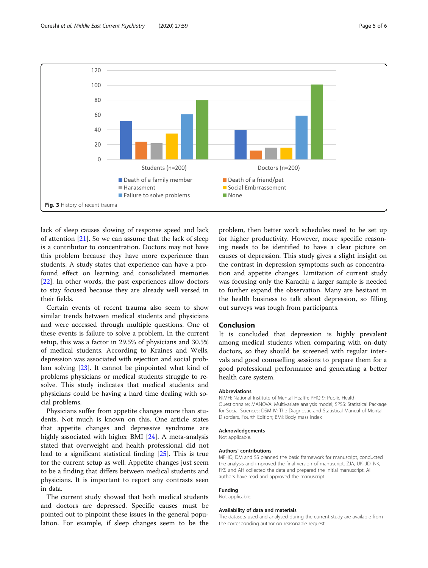<span id="page-4-0"></span>

lack of sleep causes slowing of response speed and lack of attention [\[21](#page-5-0)]. So we can assume that the lack of sleep is a contributor to concentration. Doctors may not have this problem because they have more experience than students. A study states that experience can have a profound effect on learning and consolidated memories [[22\]](#page-5-0). In other words, the past experiences allow doctors to stay focused because they are already well versed in their fields.

Certain events of recent trauma also seem to show similar trends between medical students and physicians and were accessed through multiple questions. One of these events is failure to solve a problem. In the current setup, this was a factor in 29.5% of physicians and 30.5% of medical students. According to Kraines and Wells, depression was associated with rejection and social problem solving [\[23\]](#page-5-0). It cannot be pinpointed what kind of problems physicians or medical students struggle to resolve. This study indicates that medical students and physicians could be having a hard time dealing with social problems.

Physicians suffer from appetite changes more than students. Not much is known on this. One article states that appetite changes and depressive syndrome are highly associated with higher BMI [\[24\]](#page-5-0). A meta-analysis stated that overweight and health professional did not lead to a significant statistical finding [\[25\]](#page-5-0). This is true for the current setup as well. Appetite changes just seem to be a finding that differs between medical students and physicians. It is important to report any contrasts seen in data.

The current study showed that both medical students and doctors are depressed. Specific causes must be pointed out to pinpoint these issues in the general population. For example, if sleep changes seem to be the

problem, then better work schedules need to be set up for higher productivity. However, more specific reasoning needs to be identified to have a clear picture on causes of depression. This study gives a slight insight on the contrast in depression symptoms such as concentration and appetite changes. Limitation of current study was focusing only the Karachi; a larger sample is needed to further expand the observation. Many are hesitant in the health business to talk about depression, so filling out surveys was tough from participants.

#### Conclusion

It is concluded that depression is highly prevalent among medical students when comparing with on-duty doctors, so they should be screened with regular intervals and good counselling sessions to prepare them for a good professional performance and generating a better health care system.

#### Abbreviations

NIMH: National Institute of Mental Health; PHQ 9: Public Health Questionnaire; MANOVA: Multivariate analysis model; SPSS: Statistical Package for Social Sciences; DSM IV: The Diagnostic and Statistical Manual of Mental Disorders, Fourth Edition; BMI: Body mass index

#### Acknowledgements

Not applicable.

#### Authors' contributions

MFHQ, DM and SS planned the basic framework for manuscript, conducted the analysis and improved the final version of manuscript. ZJA, UK, JD, NK, FKS and AH collected the data and prepared the initial manuscript. All authors have read and approved the manuscript.

#### Funding

Not applicable.

#### Availability of data and materials

The datasets used and analysed during the current study are available from the corresponding author on reasonable request.